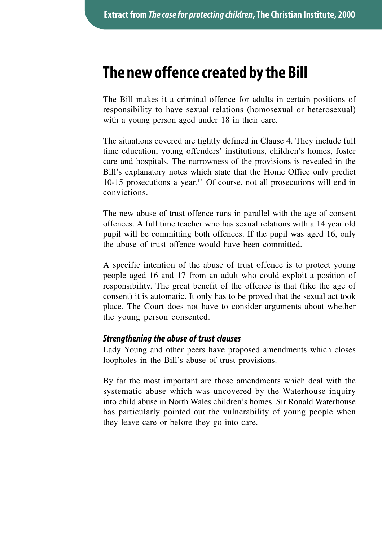# **The new offence created by the Bill**

The Bill makes it a criminal offence for adults in certain positions of responsibility to have sexual relations (homosexual or heterosexual) with a young person aged under 18 in their care.

The situations covered are tightly defined in Clause 4. They include full time education, young offenders' institutions, children's homes, foster care and hospitals. The narrowness of the provisions is revealed in the Bill's explanatory notes which state that the Home Office only predict 10-15 prosecutions a year.17 Of course, not all prosecutions will end in convictions.

The new abuse of trust offence runs in parallel with the age of consent offences. A full time teacher who has sexual relations with a 14 year old pupil will be committing both offences. If the pupil was aged 16, only the abuse of trust offence would have been committed.

A specific intention of the abuse of trust offence is to protect young people aged 16 and 17 from an adult who could exploit a position of responsibility. The great benefit of the offence is that (like the age of consent) it is automatic. It only has to be proved that the sexual act took place. The Court does not have to consider arguments about whether the young person consented.

#### *Strengthening the abuse of trust clauses*

Lady Young and other peers have proposed amendments which closes loopholes in the Bill's abuse of trust provisions.

By far the most important are those amendments which deal with the systematic abuse which was uncovered by the Waterhouse inquiry into child abuse in North Wales children's homes. Sir Ronald Waterhouse has particularly pointed out the vulnerability of young people when they leave care or before they go into care.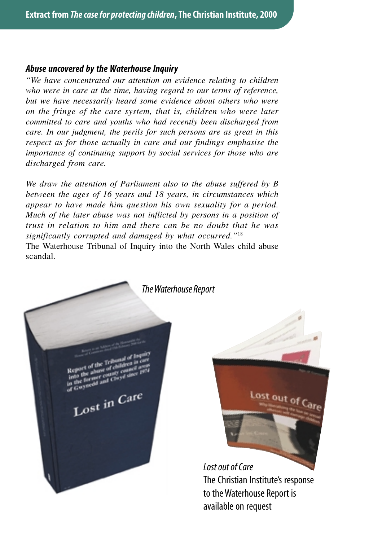#### *Abuse uncovered by the Waterhouse Inquiry*

*"We have concentrated our attention on evidence relating to children who were in care at the time, having regard to our terms of reference, but we have necessarily heard some evidence about others who were on the fringe of the care system, that is, children who were later committed to care and youths who had recently been discharged from care. In our judgment, the perils for such persons are as great in this respect as for those actually in care and our findings emphasise the importance of continuing support by social services for those who are discharged from care.*

*We draw the attention of Parliament also to the abuse suffered by B between the ages of 16 years and 18 years, in circumstances which appear to have made him question his own sexuality for a period. Much of the later abuse was not inflicted by persons in a position of trust in relation to him and there can be no doubt that he was significantly corrupted and damaged by what occurred."*<sup>18</sup> The Waterhouse Tribunal of Inquiry into the North Wales child abuse scandal.





*Lost out of Care* The Christian Institute's response to the Waterhouse Report is available on request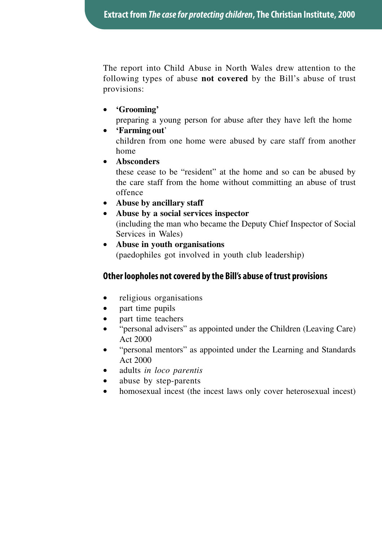The report into Child Abuse in North Wales drew attention to the following types of abuse **not covered** by the Bill's abuse of trust provisions:

- **'Grooming'**
	- preparing a young person for abuse after they have left the home
- **'Farming out**'

children from one home were abused by care staff from another home

• **Absconders**

these cease to be "resident" at the home and so can be abused by the care staff from the home without committing an abuse of trust offence

- **Abuse by ancillary staff**
- **Abuse by a social services inspector** (including the man who became the Deputy Chief Inspector of Social

Services in Wales)

• **Abuse in youth organisations** (paedophiles got involved in youth club leadership)

## **Other loopholes not covered by the Bill's abuse of trust provisions**

- religious organisations
- part time pupils
- part time teachers
- "personal advisers" as appointed under the Children (Leaving Care) Act 2000
- "personal mentors" as appointed under the Learning and Standards Act 2000
- adults *in loco parentis*
- abuse by step-parents
- homosexual incest (the incest laws only cover heterosexual incest)